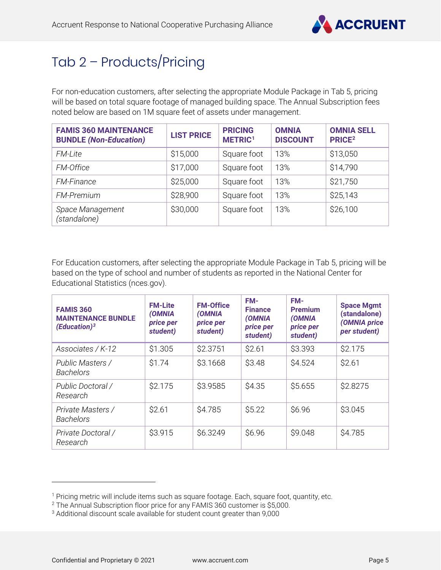

# Tab 2 – Products/Pricing

For non-education customers, after selecting the appropriate Module Package in Tab 5, pricing will be based on total square footage of managed building space. The Annual Subscription fees noted below are based on 1M square feet of assets under management.

| <b>FAMIS 360 MAINTENANCE</b><br><b>BUNDLE (Non-Education)</b> | <b>LIST PRICE</b> | <b>PRICING</b><br>METRIC <sup>1</sup> | <b>OMNIA</b><br><b>DISCOUNT</b> | <b>OMNIA SELL</b><br><b>PRICE<sup>2</sup></b> |
|---------------------------------------------------------------|-------------------|---------------------------------------|---------------------------------|-----------------------------------------------|
| <b>FM-Lite</b>                                                | \$15,000          | Square foot                           | 13%                             | \$13,050                                      |
| FM-Office                                                     | \$17,000          | Square foot                           | 13%                             | \$14,790                                      |
| <b>FM-Finance</b>                                             | \$25,000          | Square foot                           | 13%                             | \$21,750                                      |
| <b>FM-Premium</b>                                             | \$28,900          | Square foot                           | 13%                             | \$25,143                                      |
| Space Management<br>(standalone)                              | \$30,000          | Square foot                           | 13%                             | \$26,100                                      |

For Education customers, after selecting the appropriate Module Package in Tab 5, pricing will be based on the type of school and number of students as reported in the National Center for Educational Statistics (nces.gov).

| <b>FAMIS 360</b><br><b>MAINTENANCE BUNDLE</b><br>(Education) <sup>3</sup> | <b>FM-Lite</b><br>(OMNIA<br>price per<br>student) | <b>FM-Office</b><br>(OMNIA<br>price per<br>student) | FM-<br><b>Finance</b><br>(OMNIA<br>price per<br>student) | FM-<br><b>Premium</b><br>(OMNIA<br>price per<br>student) | <b>Space Mgmt</b><br>(standalone)<br>(OMNIA price<br>per student) |
|---------------------------------------------------------------------------|---------------------------------------------------|-----------------------------------------------------|----------------------------------------------------------|----------------------------------------------------------|-------------------------------------------------------------------|
| Associates / K-12                                                         | \$1.305                                           | \$2.3751                                            | \$2.61                                                   | \$3.393                                                  | \$2.175                                                           |
| Public Masters /<br><b>Bachelors</b>                                      | \$1.74                                            | \$3.1668                                            | \$3.48                                                   | <b>\$4.524</b>                                           | \$2.61                                                            |
| Public Doctoral /<br>Research                                             | \$2.175                                           | \$3.9585                                            | \$4.35                                                   | \$5.655                                                  | \$2.8275                                                          |
| Private Masters /<br><b>Bachelors</b>                                     | \$2.61                                            | \$4.785                                             | \$5.22                                                   | \$6.96                                                   | \$3.045                                                           |
| Private Doctoral /<br>Research                                            | \$3.915                                           | \$6.3249                                            | \$6.96                                                   | \$9.048                                                  | \$4.785                                                           |

<span id="page-0-0"></span><sup>&</sup>lt;sup>1</sup> Pricing metric will include items such as square footage. Each, square foot, quantity, etc.

<span id="page-0-1"></span><sup>2</sup> The Annual Subscription floor price for any FAMIS 360 customer is \$5,000.

<span id="page-0-2"></span><sup>3</sup> Additional discount scale available for student count greater than 9,000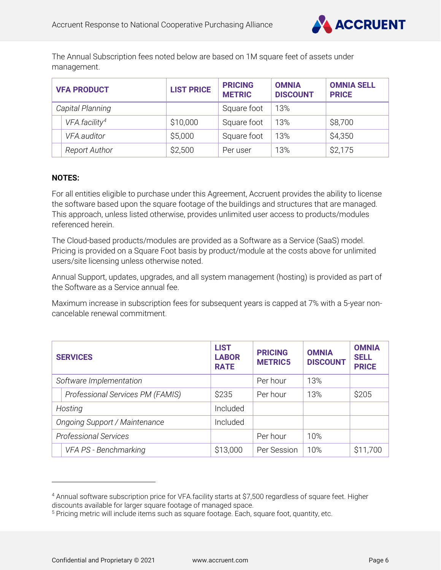

The Annual Subscription fees noted below are based on 1M square feet of assets under management.

| <b>VFA PRODUCT</b> |                           | <b>LIST PRICE</b> | <b>PRICING</b><br><b>METRIC</b> | <b>OMNIA</b><br><b>DISCOUNT</b> | <b>OMNIA SELL</b><br><b>PRICE</b> |
|--------------------|---------------------------|-------------------|---------------------------------|---------------------------------|-----------------------------------|
|                    | Capital Planning          |                   | Square foot                     | 13%                             |                                   |
|                    | VFA.facility <sup>4</sup> | \$10,000          | Square foot                     | 13%                             | \$8,700                           |
|                    | VFA.auditor               | \$5,000           | Square foot                     | 13%                             | \$4,350                           |
|                    | <b>Report Author</b>      | \$2,500           | Per user                        | 13%                             | \$2,175                           |

#### **NOTES:**

For all entities eligible to purchase under this Agreement, Accruent provides the ability to license the software based upon the square footage of the buildings and structures that are managed. This approach, unless listed otherwise, provides unlimited user access to products/modules referenced herein.

The Cloud-based products/modules are provided as a Software as a Service (SaaS) model. Pricing is provided on a Square Foot basis by product/module at the costs above for unlimited users/site licensing unless otherwise noted.

Annual Support, updates, upgrades, and all system management (hosting) is provided as part of the Software as a Service annual fee.

Maximum increase in subscription fees for subsequent years is capped at 7% with a 5-year noncancelable renewal commitment.

| <b>SERVICES</b>                      |                                  | <b>LIST</b><br><b>LABOR</b><br><b>RATE</b> | <b>PRICING</b><br><b>METRIC5</b> | <b>OMNIA</b><br><b>DISCOUNT</b> | <b>OMNIA</b><br><b>SELL</b><br><b>PRICE</b> |
|--------------------------------------|----------------------------------|--------------------------------------------|----------------------------------|---------------------------------|---------------------------------------------|
|                                      | Software Implementation          |                                            | Per hour                         | 13%                             |                                             |
|                                      | Professional Services PM (FAMIS) | \$235                                      | Per hour                         | 13%                             | \$205                                       |
|                                      | Hosting                          | Included                                   |                                  |                                 |                                             |
| <b>Ongoing Support / Maintenance</b> |                                  | Included                                   |                                  |                                 |                                             |
| <b>Professional Services</b>         |                                  |                                            | Per hour                         | 10%                             |                                             |
|                                      | VFA PS - Benchmarking            | \$13,000                                   | Per Session                      | 10%                             | \$11,700                                    |

<span id="page-1-0"></span><sup>4</sup> Annual software subscription price for VFA.facility starts at \$7,500 regardless of square feet. Higher discounts available for larger square footage of managed space.

<span id="page-1-1"></span><sup>&</sup>lt;sup>5</sup> Pricing metric will include items such as square footage. Each, square foot, quantity, etc.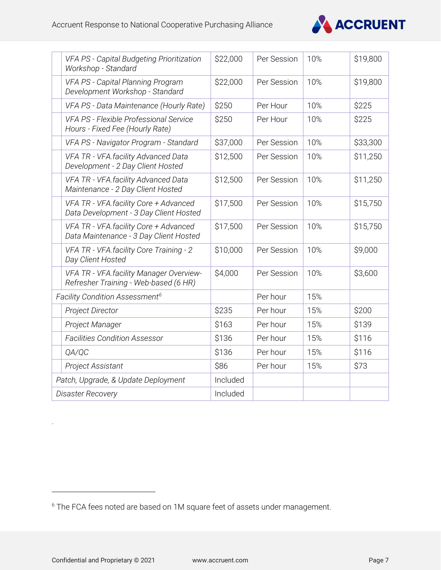

|                                     | VFA PS - Capital Budgeting Prioritization<br>Workshop - Standard                 | \$22,000 | Per Session | 10% | \$19,800 |
|-------------------------------------|----------------------------------------------------------------------------------|----------|-------------|-----|----------|
|                                     | VFA PS - Capital Planning Program<br>Development Workshop - Standard             | \$22,000 | Per Session | 10% | \$19,800 |
|                                     | VFA PS - Data Maintenance (Hourly Rate)                                          | \$250    | Per Hour    | 10% | \$225    |
|                                     | VFA PS - Flexible Professional Service<br>Hours - Fixed Fee (Hourly Rate)        | \$250    | Per Hour    | 10% | \$225    |
|                                     | VFA PS - Navigator Program - Standard                                            | \$37,000 | Per Session | 10% | \$33,300 |
|                                     | VFA TR - VFA.facility Advanced Data<br>Development - 2 Day Client Hosted         | \$12,500 | Per Session | 10% | \$11,250 |
|                                     | VFA TR - VFA.facility Advanced Data<br>Maintenance - 2 Day Client Hosted         | \$12,500 | Per Session | 10% | \$11,250 |
|                                     | VFA TR - VFA.facility Core + Advanced<br>Data Development - 3 Day Client Hosted  | \$17,500 | Per Session | 10% | \$15,750 |
|                                     | VFA TR - VFA.facility Core + Advanced<br>Data Maintenance - 3 Day Client Hosted  | \$17,500 | Per Session | 10% | \$15,750 |
|                                     | VFA TR - VFA facility Core Training - 2<br>Day Client Hosted                     | \$10,000 | Per Session | 10% | \$9,000  |
|                                     | VFA TR - VFA facility Manager Overview-<br>Refresher Training - Web-based (6 HR) | \$4,000  | Per Session | 10% | \$3,600  |
|                                     | Facility Condition Assessment <sup>6</sup>                                       |          | Per hour    | 15% |          |
|                                     | <b>Project Director</b>                                                          | \$235    | Per hour    | 15% | \$200    |
|                                     | Project Manager                                                                  | \$163    | Per hour    | 15% | \$139    |
|                                     | <b>Facilities Condition Assessor</b>                                             | \$136    | Per hour    | 15% | \$116    |
|                                     | QA/QC                                                                            | \$136    | Per hour    | 15% | \$116    |
|                                     | <b>Project Assistant</b>                                                         | \$86     | Per hour    | 15% | \$73     |
| Patch, Upgrade, & Update Deployment |                                                                                  | Included |             |     |          |
|                                     | <b>Disaster Recovery</b>                                                         | Included |             |     |          |

.

<span id="page-2-0"></span><sup>6</sup> The FCA fees noted are based on 1M square feet of assets under management.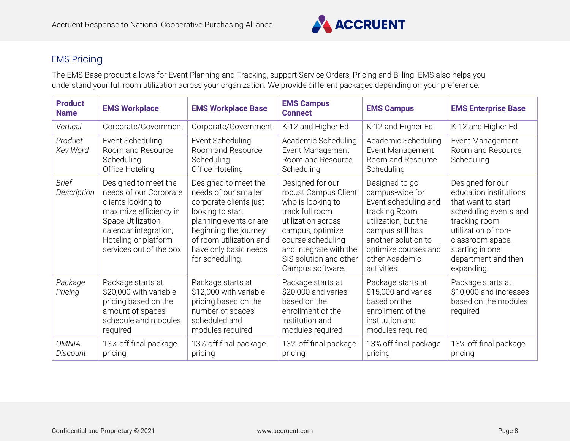

# EMS Pricing

The EMS Base product allows for Event Planning and Tracking, support Service Orders, Pricing and Billing. EMS also helps you understand your full room utilization across your organization. We provide different packages depending on your preference.

| <b>Product</b><br><b>Name</b> | <b>EMS Workplace</b>                                                                                                                                                                              | <b>EMS Workplace Base</b>                                                                                                                                                                                            | <b>EMS Campus</b><br><b>Connect</b>                                                                                                                                                                                     | <b>EMS Campus</b>                                                                                                                                                                                      | <b>EMS Enterprise Base</b>                                                                                                                                                                                    |
|-------------------------------|---------------------------------------------------------------------------------------------------------------------------------------------------------------------------------------------------|----------------------------------------------------------------------------------------------------------------------------------------------------------------------------------------------------------------------|-------------------------------------------------------------------------------------------------------------------------------------------------------------------------------------------------------------------------|--------------------------------------------------------------------------------------------------------------------------------------------------------------------------------------------------------|---------------------------------------------------------------------------------------------------------------------------------------------------------------------------------------------------------------|
| Vertical                      | Corporate/Government                                                                                                                                                                              | Corporate/Government                                                                                                                                                                                                 | K-12 and Higher Ed                                                                                                                                                                                                      | K-12 and Higher Ed                                                                                                                                                                                     | K-12 and Higher Ed                                                                                                                                                                                            |
| Product<br>Key Word           | Event Scheduling<br>Room and Resource<br>Scheduling<br>Office Hoteling                                                                                                                            | Event Scheduling<br>Room and Resource<br>Scheduling<br>Office Hoteling                                                                                                                                               | Academic Scheduling<br>Event Management<br>Room and Resource<br>Scheduling                                                                                                                                              | Academic Scheduling<br>Event Management<br>Room and Resource<br>Scheduling                                                                                                                             | Event Management<br>Room and Resource<br>Scheduling                                                                                                                                                           |
| <b>Brief</b><br>Description   | Designed to meet the<br>needs of our Corporate<br>clients looking to<br>maximize efficiency in<br>Space Utilization,<br>calendar integration,<br>Hoteling or platform<br>services out of the box. | Designed to meet the<br>needs of our smaller<br>corporate clients just<br>looking to start<br>planning events or are<br>beginning the journey<br>of room utilization and<br>have only basic needs<br>for scheduling. | Designed for our<br>robust Campus Client<br>who is looking to<br>track full room<br>utilization across<br>campus, optimize<br>course scheduling<br>and integrate with the<br>SIS solution and other<br>Campus software. | Designed to go<br>campus-wide for<br>Event scheduling and<br>tracking Room<br>utilization, but the<br>campus still has<br>another solution to<br>optimize courses and<br>other Academic<br>activities. | Designed for our<br>education institutions<br>that want to start<br>scheduling events and<br>tracking room<br>utilization of non-<br>classroom space,<br>starting in one<br>department and then<br>expanding. |
| Package<br>Pricing            | Package starts at<br>\$20,000 with variable<br>pricing based on the<br>amount of spaces<br>schedule and modules<br>required                                                                       | Package starts at<br>\$12,000 with variable<br>pricing based on the<br>number of spaces<br>scheduled and<br>modules required                                                                                         | Package starts at<br>\$20,000 and varies<br>based on the<br>enrollment of the<br>institution and<br>modules required                                                                                                    | Package starts at<br>\$15,000 and varies<br>based on the<br>enrollment of the<br>institution and<br>modules required                                                                                   | Package starts at<br>\$10,000 and increases<br>based on the modules<br>required                                                                                                                               |
| <b>OMNIA</b><br>Discount      | 13% off final package<br>pricing                                                                                                                                                                  | 13% off final package<br>pricing                                                                                                                                                                                     | 13% off final package<br>pricing                                                                                                                                                                                        | 13% off final package<br>pricing                                                                                                                                                                       | 13% off final package<br>pricing                                                                                                                                                                              |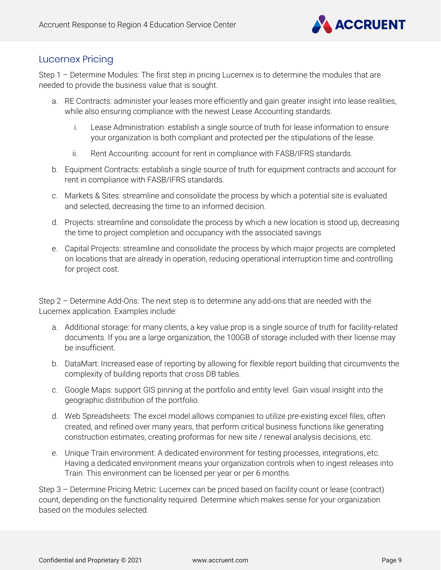

### Lucernex Pricing

Step 1 – Determine Modules: The first step in pricing Lucernex is to determine the modules that are needed to provide the business value that is sought.

- a. RE Contracts: administer your leases more efficiently and gain greater insight into lease realities, while also ensuring compliance with the newest Lease Accounting standards.
	- i. Lease Administration: establish a single source of truth for lease information to ensure your organization is both compliant and protected per the stipulations of the lease.
	- ii. Rent Accounting: account for rent in compliance with FASB/IFRS standards.
- b. Equipment Contracts: establish a single source of truth for equipment contracts and account for rent in compliance with FASB/IFRS standards.
- c. Markets & Sites: streamline and consolidate the process by which a potential site is evaluated and selected, decreasing the time to an informed decision.
- d. Projects: streamline and consolidate the process by which a new location is stood up, decreasing the time to project completion and occupancy with the associated savings
- e. Capital Projects: streamline and consolidate the process by which major projects are completed on locations that are already in operation, reducing operational interruption time and controlling for project cost.

Step 2 – Determine Add-Ons: The next step is to determine any add-ons that are needed with the Lucernex application. Examples include:

- a. Additional storage: for many clients, a key value prop is a single source of truth for facility-related documents. If you are a large organization, the 100GB of storage included with their license may be insufficient.
- b. DataMart: Increased ease of reporting by allowing for flexible report building that circumvents the complexity of building reports that cross DB tables.
- c. Google Maps: support GIS pinning at the portfolio and entity level. Gain visual insight into the geographic distribution of the portfolio.
- d. Web Spreadsheets: The excel model allows companies to utilize pre-existing excel files, often created, and refined over many years, that perform critical business functions like generating construction estimates, creating proformas for new site / renewal analysis decisions, etc.
- e. Unique Train environment: A dedicated environment for testing processes, integrations, etc. Having a dedicated environment means your organization controls when to ingest releases into Train. This environment can be licensed per year or per 6 months.

Step 3 – Determine Pricing Metric: Lucernex can be priced based on facility count or lease (contract) count, depending on the functionality required. Determine which makes sense for your organization based on the modules selected.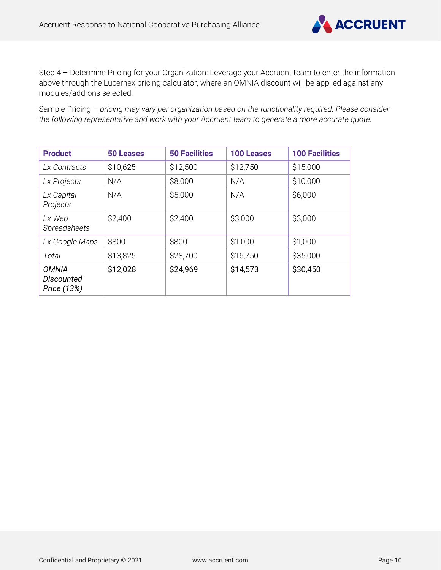

Step 4 – Determine Pricing for your Organization: Leverage your Accruent team to enter the information above through the Lucernex pricing calculator, where an OMNIA discount will be applied against any modules/add-ons selected.

Sample Pricing – *pricing may vary per organization based on the functionality required. Please consider the following representative and work with your Accruent team to generate a more accurate quote.*

| <b>Product</b>                                   | <b>50 Leases</b> | <b>50 Facilities</b> | <b>100 Leases</b> | <b>100 Facilities</b> |
|--------------------------------------------------|------------------|----------------------|-------------------|-----------------------|
| Lx Contracts                                     | \$10,625         | \$12,500             | \$12,750          | \$15,000              |
| Lx Projects                                      | N/A              | \$8,000              | N/A               | \$10,000              |
| Lx Capital<br>Projects                           | N/A              | \$5,000              | N/A               | \$6,000               |
| Lx Web<br>Spreadsheets                           | \$2,400          | \$2,400              | \$3,000           | \$3,000               |
| Lx Google Maps                                   | \$800            | \$800                | \$1,000           | \$1,000               |
| Total                                            | \$13,825         | \$28,700             | \$16,750          | \$35,000              |
| <b>OMNIA</b><br><b>Discounted</b><br>Price (13%) | \$12,028         | \$24,969             | \$14,573          | \$30,450              |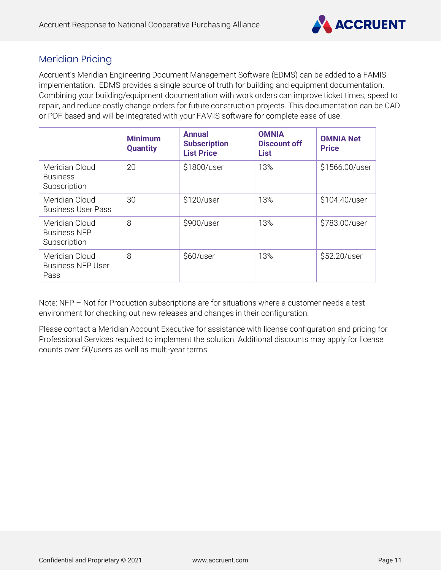

# Meridian Pricing

Accruent's Meridian Engineering Document Management Software (EDMS) can be added to a FAMIS implementation. EDMS provides a single source of truth for building and equipment documentation. Combining your building/equipment documentation with work orders can improve ticket times, speed to repair, and reduce costly change orders for future construction projects. This documentation can be CAD or PDF based and will be integrated with your FAMIS software for complete ease of use.

|                                                       | <b>Minimum</b><br><b>Quantity</b> | <b>Annual</b><br><b>Subscription</b><br><b>List Price</b> | <b>OMNIA</b><br><b>Discount off</b><br><b>List</b> | <b>OMNIA Net</b><br><b>Price</b> |
|-------------------------------------------------------|-----------------------------------|-----------------------------------------------------------|----------------------------------------------------|----------------------------------|
| Meridian Cloud<br><b>Business</b><br>Subscription     | 20                                | \$1800/user                                               | 13%                                                | \$1566.00/user                   |
| Meridian Cloud<br><b>Business User Pass</b>           | 30                                | \$120/user                                                | 13%                                                | \$104.40/user                    |
| Meridian Cloud<br><b>Business NFP</b><br>Subscription | 8                                 | \$900/user                                                | 13%                                                | \$783.00/user                    |
| Meridian Cloud<br><b>Business NFP User</b><br>Pass    | 8                                 | \$60/user                                                 | 13%                                                | \$52.20/user                     |

Note: NFP – Not for Production subscriptions are for situations where a customer needs a test environment for checking out new releases and changes in their configuration.

Please contact a Meridian Account Executive for assistance with license configuration and pricing for Professional Services required to implement the solution. Additional discounts may apply for license counts over 50/users as well as multi-year terms.